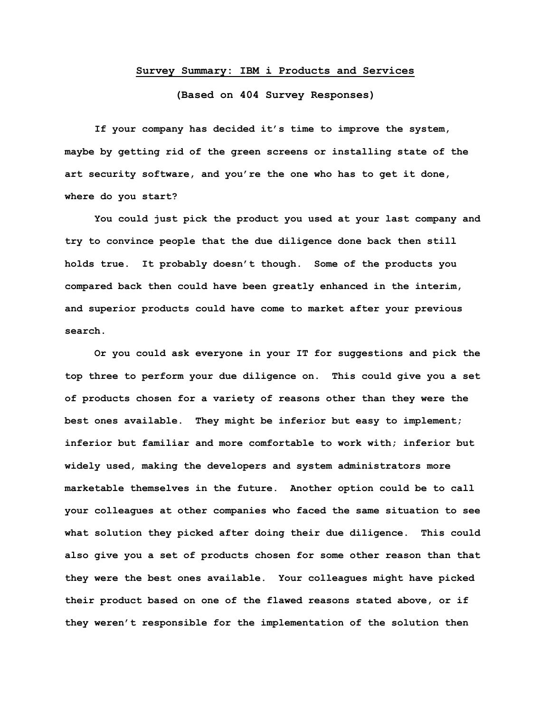# **Survey Summary: IBM i Products and Services**

## **(Based on 404 Survey Responses)**

 **If your company has decided it's time to improve the system, maybe by getting rid of the green screens or installing state of the art security software, and you're the one who has to get it done, where do you start?** 

 **You could just pick the product you used at your last company and try to convince people that the due diligence done back then still holds true. It probably doesn't though. Some of the products you compared back then could have been greatly enhanced in the interim, and superior products could have come to market after your previous search.**

 **Or you could ask everyone in your IT for suggestions and pick the top three to perform your due diligence on. This could give you a set of products chosen for a variety of reasons other than they were the best ones available. They might be inferior but easy to implement; inferior but familiar and more comfortable to work with; inferior but widely used, making the developers and system administrators more marketable themselves in the future. Another option could be to call your colleagues at other companies who faced the same situation to see what solution they picked after doing their due diligence. This could also give you a set of products chosen for some other reason than that they were the best ones available. Your colleagues might have picked their product based on one of the flawed reasons stated above, or if they weren't responsible for the implementation of the solution then**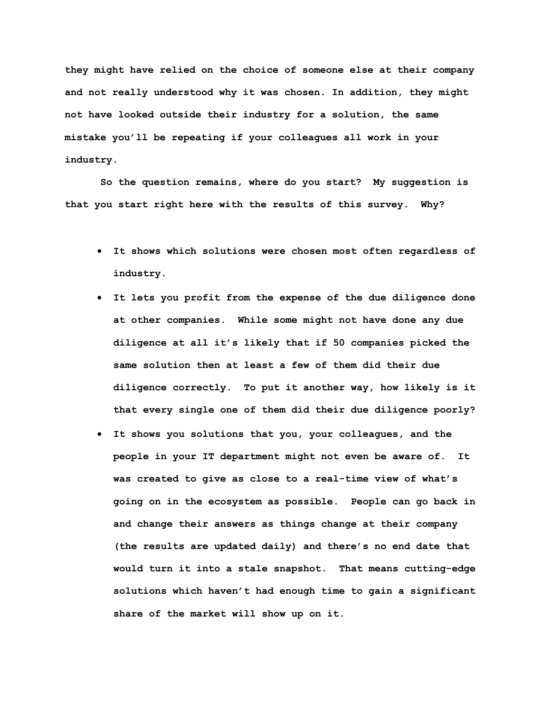**they might have relied on the choice of someone else at their company and not really understood why it was chosen. In addition, they might not have looked outside their industry for a solution, the same mistake you'll be repeating if your colleagues all work in your industry.**

 **So the question remains, where do you start? My suggestion is that you start right here with the results of this survey. Why?** 

- **It shows which solutions were chosen most often regardless of industry.**
- **It lets you profit from the expense of the due diligence done at other companies. While some might not have done any due diligence at all it's likely that if 50 companies picked the same solution then at least a few of them did their due diligence correctly. To put it another way, how likely is it that every single one of them did their due diligence poorly?**
- **It shows you solutions that you, your colleagues, and the people in your IT department might not even be aware of. It was created to give as close to a real-time view of what's going on in the ecosystem as possible. People can go back in and change their answers as things change at their company (the results are updated daily) and there's no end date that would turn it into a stale snapshot. That means cutting-edge solutions which haven't had enough time to gain a significant share of the market will show up on it.**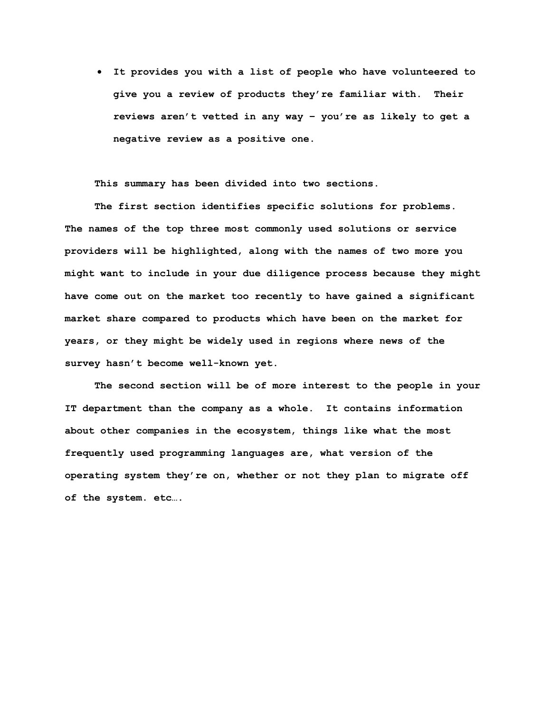**It provides you with a list of people who have volunteered to give you a review of products they're familiar with. Their reviews aren't vetted in any way – you're as likely to get a negative review as a positive one.** 

 **This summary has been divided into two sections.** 

 **The first section identifies specific solutions for problems. The names of the top three most commonly used solutions or service providers will be highlighted, along with the names of two more you might want to include in your due diligence process because they might have come out on the market too recently to have gained a significant market share compared to products which have been on the market for years, or they might be widely used in regions where news of the survey hasn't become well-known yet.**

 **The second section will be of more interest to the people in your IT department than the company as a whole. It contains information about other companies in the ecosystem, things like what the most frequently used programming languages are, what version of the operating system they're on, whether or not they plan to migrate off of the system. etc….**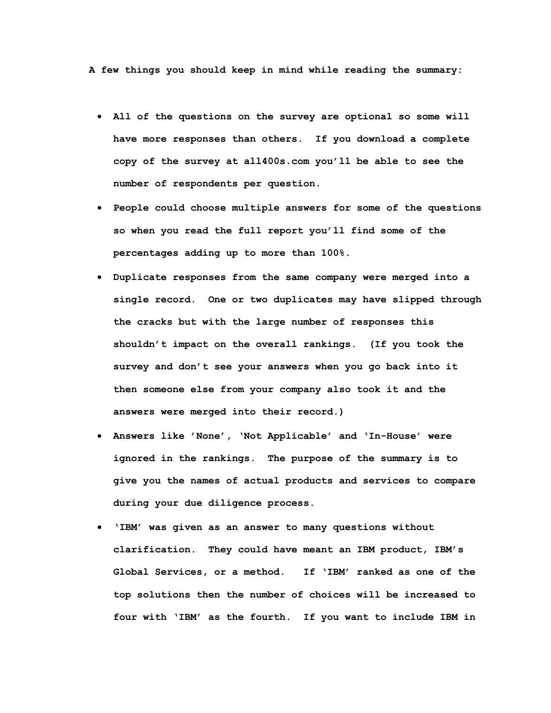**A few things you should keep in mind while reading the summary:**

- **All of the questions on the survey are optional so some will have more responses than others. If you download a complete copy of the survey at all400s.com you'll be able to see the number of respondents per question.**
- **People could choose multiple answers for some of the questions so when you read the full report you'll find some of the percentages adding up to more than 100%.**
- **Duplicate responses from the same company were merged into a single record. One or two duplicates may have slipped through the cracks but with the large number of responses this shouldn't impact on the overall rankings. (If you took the survey and don't see your answers when you go back into it then someone else from your company also took it and the answers were merged into their record.)**
- **Answers like 'None', 'Not Applicable' and 'In-House' were ignored in the rankings. The purpose of the summary is to give you the names of actual products and services to compare during your due diligence process.**
- **'IBM' was given as an answer to many questions without clarification. They could have meant an IBM product, IBM's Global Services, or a method. If 'IBM' ranked as one of the top solutions then the number of choices will be increased to four with 'IBM' as the fourth. If you want to include IBM in**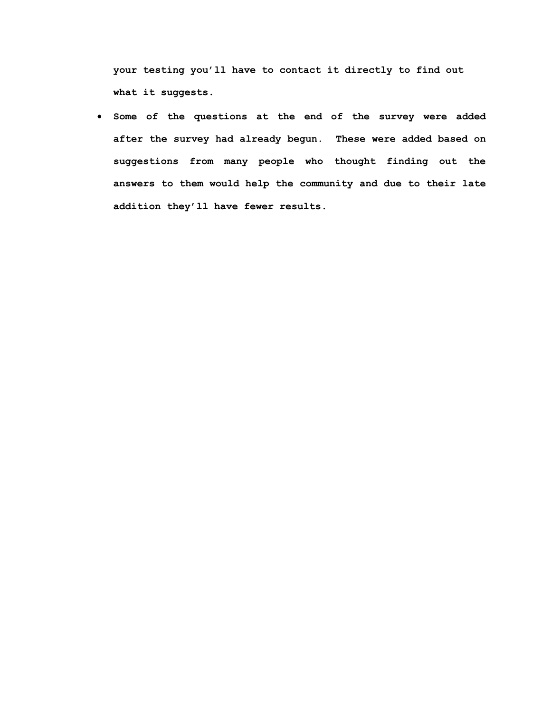**your testing you'll have to contact it directly to find out what it suggests.** 

 **Some of the questions at the end of the survey were added after the survey had already begun. These were added based on suggestions from many people who thought finding out the answers to them would help the community and due to their late addition they'll have fewer results.**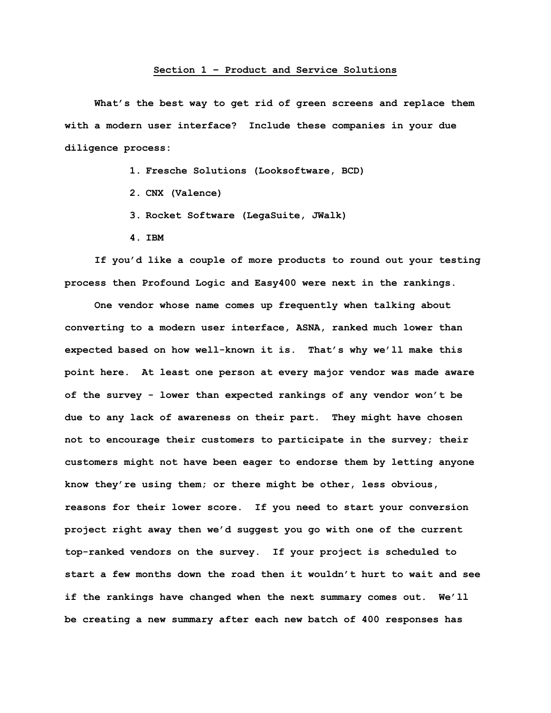# **Section 1 – Product and Service Solutions**

What's the best way to get rid of green screens and replace them **with a modern user interface? Include these companies in your due diligence process:** 

- **1. Fresche Solutions (Looksoftware, BCD)**
- **2. CNX (Valence)**
- **3. Rocket Software (LegaSuite, JWalk)**
- **4. IBM**

 **If you'd like a couple of more products to round out your testing process then Profound Logic and Easy400 were next in the rankings.** 

 **One vendor whose name comes up frequently when talking about converting to a modern user interface, ASNA, ranked much lower than expected based on how well-known it is. That's why we'll make this point here. At least one person at every major vendor was made aware of the survey - lower than expected rankings of any vendor won't be due to any lack of awareness on their part. They might have chosen not to encourage their customers to participate in the survey; their customers might not have been eager to endorse them by letting anyone know they're using them; or there might be other, less obvious, reasons for their lower score. If you need to start your conversion project right away then we'd suggest you go with one of the current top-ranked vendors on the survey. If your project is scheduled to start a few months down the road then it wouldn't hurt to wait and see if the rankings have changed when the next summary comes out. We'll be creating a new summary after each new batch of 400 responses has**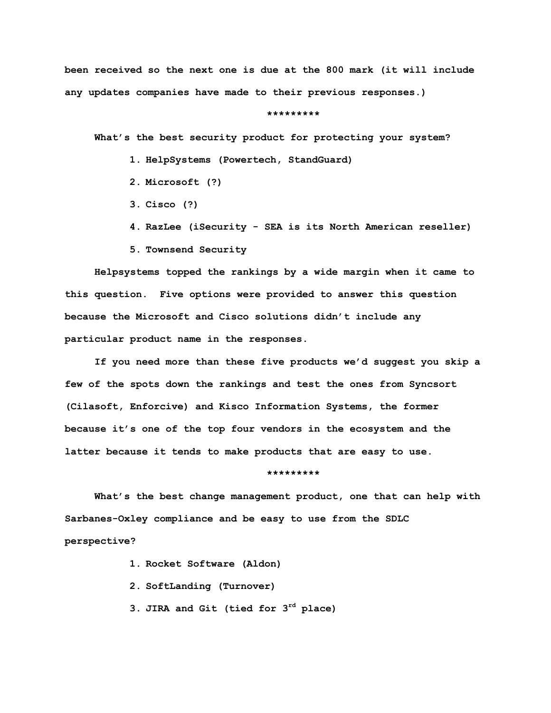**been received so the next one is due at the 800 mark (it will include any updates companies have made to their previous responses.)**

#### **\*\*\*\*\*\*\*\*\***

 **What's the best security product for protecting your system?** 

- **1. HelpSystems (Powertech, StandGuard)**
- **2. Microsoft (?)**
- **3. Cisco (?)**
- **4. RazLee (iSecurity - SEA is its North American reseller)**
- **5. Townsend Security**

 **Helpsystems topped the rankings by a wide margin when it came to this question. Five options were provided to answer this question because the Microsoft and Cisco solutions didn't include any particular product name in the responses.** 

 **If you need more than these five products we'd suggest you skip a few of the spots down the rankings and test the ones from Syncsort (Cilasoft, Enforcive) and Kisco Information Systems, the former because it's one of the top four vendors in the ecosystem and the latter because it tends to make products that are easy to use.** 

#### **\*\*\*\*\*\*\*\*\***

 **What's the best change management product, one that can help with Sarbanes-Oxley compliance and be easy to use from the SDLC perspective?** 

- **1. Rocket Software (Aldon)**
- **2. SoftLanding (Turnover)**
- **3. JIRA and Git (tied for 3rd place)**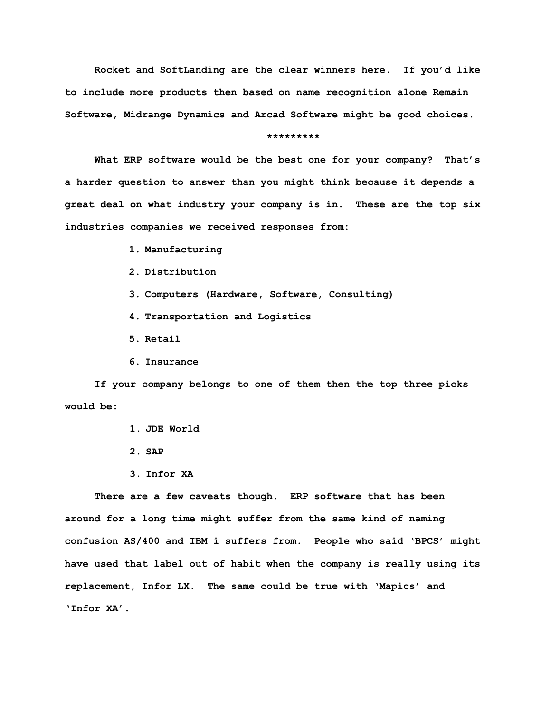**Rocket and SoftLanding are the clear winners here. If you'd like to include more products then based on name recognition alone Remain Software, Midrange Dynamics and Arcad Software might be good choices.** 

## **\*\*\*\*\*\*\*\*\***

 **What ERP software would be the best one for your company? That's a harder question to answer than you might think because it depends a great deal on what industry your company is in. These are the top six industries companies we received responses from:**

- **1. Manufacturing**
- **2. Distribution**
- **3. Computers (Hardware, Software, Consulting)**
- **4. Transportation and Logistics**
- **5. Retail**
- **6. Insurance**

 **If your company belongs to one of them then the top three picks would be:**

- **1. JDE World**
- **2. SAP**
- **3. Infor XA**

 **There are a few caveats though. ERP software that has been around for a long time might suffer from the same kind of naming confusion AS/400 and IBM i suffers from. People who said 'BPCS' might have used that label out of habit when the company is really using its replacement, Infor LX. The same could be true with 'Mapics' and 'Infor XA'.**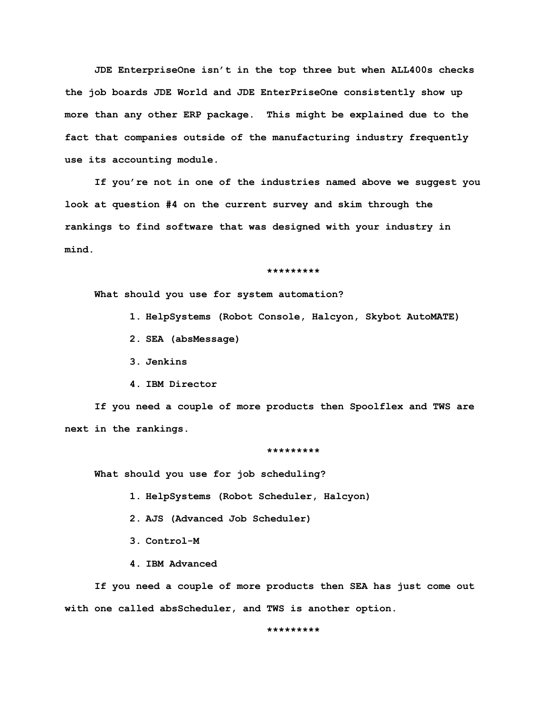**JDE EnterpriseOne isn't in the top three but when ALL400s checks the job boards JDE World and JDE EnterPriseOne consistently show up more than any other ERP package. This might be explained due to the fact that companies outside of the manufacturing industry frequently use its accounting module.**

 **If you're not in one of the industries named above we suggest you look at question #4 on the current survey and skim through the rankings to find software that was designed with your industry in mind.**

#### **\*\*\*\*\*\*\*\*\***

 **What should you use for system automation?**

- **1. HelpSystems (Robot Console, Halcyon, Skybot AutoMATE)**
- **2. SEA (absMessage)**
- **3. Jenkins**
- **4. IBM Director**

 **If you need a couple of more products then Spoolflex and TWS are next in the rankings.** 

# **\*\*\*\*\*\*\*\*\***

 **What should you use for job scheduling?**

- **1. HelpSystems (Robot Scheduler, Halcyon)**
- **2. AJS (Advanced Job Scheduler)**
- **3. Control-M**
- **4. IBM Advanced**

 **If you need a couple of more products then SEA has just come out with one called absScheduler, and TWS is another option.** 

 **\*\*\*\*\*\*\*\*\***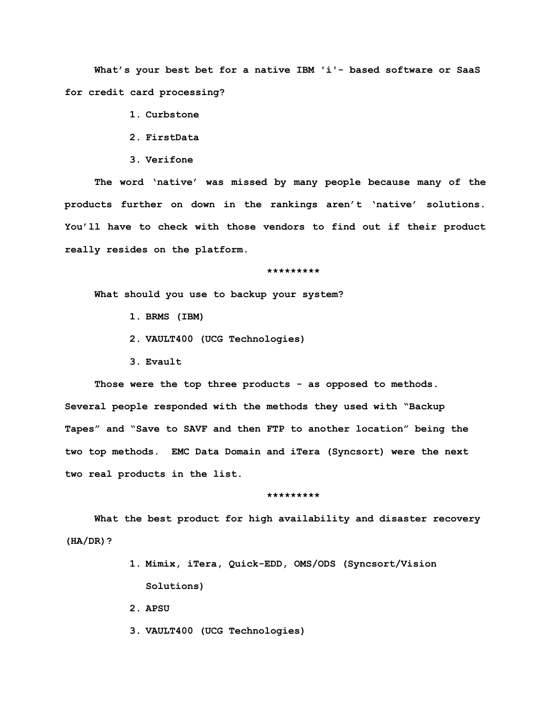**What's your best bet for a native IBM 'i'- based software or SaaS for credit card processing?** 

- **1. Curbstone**
- **2. FirstData**
- **3. Verifone**

 **The word 'native' was missed by many people because many of the products further on down in the rankings aren't 'native' solutions. You'll have to check with those vendors to find out if their product really resides on the platform.** 

#### **\*\*\*\*\*\*\*\*\***

 **What should you use to backup your system?**

- **1. BRMS (IBM)**
- **2. VAULT400 (UCG Technologies)**
- **3. Evault**

 **Those were the top three products - as opposed to methods. Several people responded with the methods they used with "Backup Tapes" and "Save to SAVF and then FTP to another location" being the two top methods. EMC Data Domain and iTera (Syncsort) were the next two real products in the list.**

## **\*\*\*\*\*\*\*\*\***

 **What the best product for high availability and disaster recovery (HA/DR)?**

- **1. Mimix, iTera, Quick-EDD, OMS/ODS (Syncsort/Vision Solutions)**
- **2. APSU**
- **3. VAULT400 (UCG Technologies)**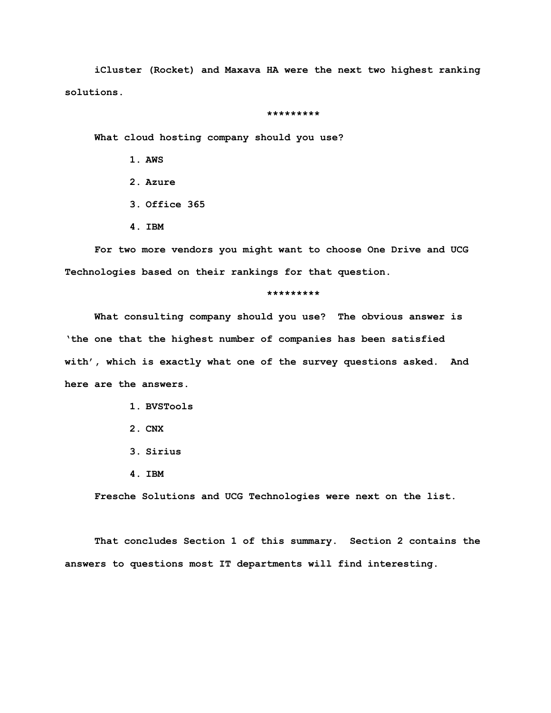**iCluster (Rocket) and Maxava HA were the next two highest ranking solutions.**

#### **\*\*\*\*\*\*\*\*\***

 **What cloud hosting company should you use?**

- **1. AWS**
- **2. Azure**
- **3. Office 365**
- **4. IBM**

 **For two more vendors you might want to choose One Drive and UCG Technologies based on their rankings for that question.**

### **\*\*\*\*\*\*\*\*\***

 **What consulting company should you use? The obvious answer is 'the one that the highest number of companies has been satisfied with', which is exactly what one of the survey questions asked. And here are the answers.**

- **1. BVSTools**
- **2. CNX**
- **3. Sirius**
- **4. IBM**

 **Fresche Solutions and UCG Technologies were next on the list.** 

 **That concludes Section 1 of this summary. Section 2 contains the answers to questions most IT departments will find interesting.**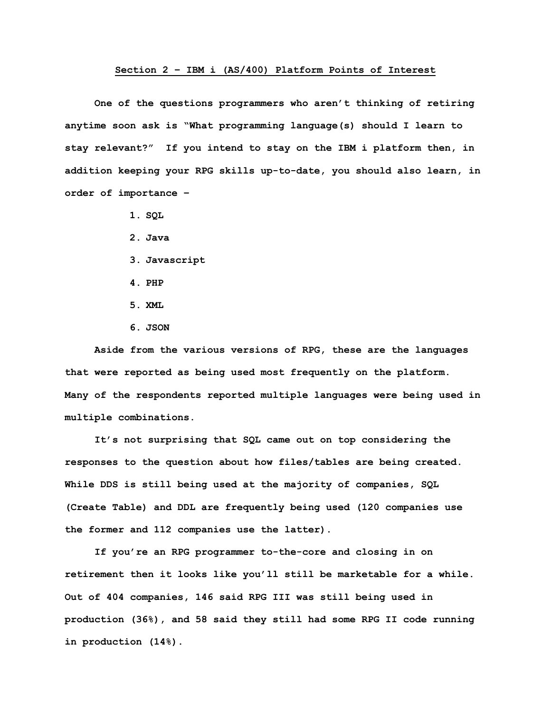# **Section 2 – IBM i (AS/400) Platform Points of Interest**

 **One of the questions programmers who aren't thinking of retiring anytime soon ask is "What programming language(s) should I learn to stay relevant?" If you intend to stay on the IBM i platform then, in addition keeping your RPG skills up-to-date, you should also learn, in order of importance –**

- **1. SQL**
- **2. Java**
- **3. Javascript**
- **4. PHP**
- **5. XML**
- **6. JSON**

 **Aside from the various versions of RPG, these are the languages that were reported as being used most frequently on the platform. Many of the respondents reported multiple languages were being used in multiple combinations.**

 **It's not surprising that SQL came out on top considering the responses to the question about how files/tables are being created. While DDS is still being used at the majority of companies, SQL (Create Table) and DDL are frequently being used (120 companies use the former and 112 companies use the latter).** 

 **If you're an RPG programmer to-the-core and closing in on retirement then it looks like you'll still be marketable for a while. Out of 404 companies, 146 said RPG III was still being used in production (36%), and 58 said they still had some RPG II code running in production (14%).**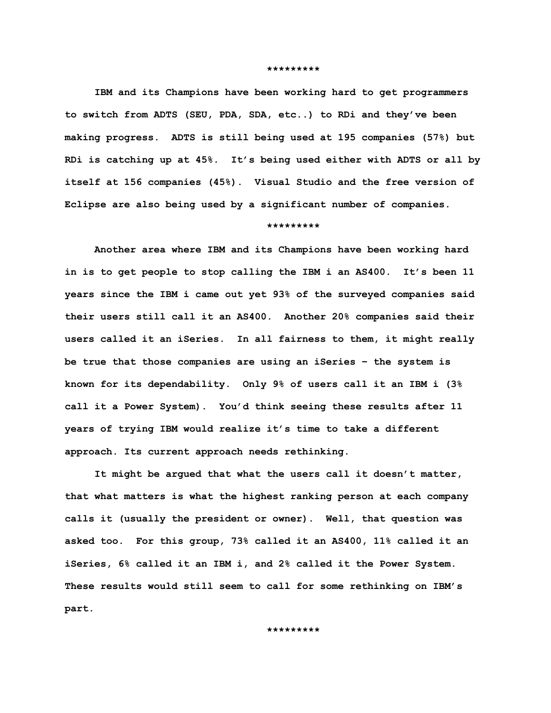**IBM and its Champions have been working hard to get programmers to switch from ADTS (SEU, PDA, SDA, etc..) to RDi and they've been making progress. ADTS is still being used at 195 companies (57%) but** 

**RDi is catching up at 45%. It's being used either with ADTS or all by itself at 156 companies (45%). Visual Studio and the free version of Eclipse are also being used by a significant number of companies.**

## **\*\*\*\*\*\*\*\*\***

 **Another area where IBM and its Champions have been working hard in is to get people to stop calling the IBM i an AS400. It's been 11 years since the IBM i came out yet 93% of the surveyed companies said their users still call it an AS400. Another 20% companies said their users called it an iSeries. In all fairness to them, it might really be true that those companies are using an iSeries – the system is known for its dependability. Only 9% of users call it an IBM i (3% call it a Power System). You'd think seeing these results after 11 years of trying IBM would realize it's time to take a different approach. Its current approach needs rethinking.** 

 **It might be argued that what the users call it doesn't matter, that what matters is what the highest ranking person at each company calls it (usually the president or owner). Well, that question was asked too. For this group, 73% called it an AS400, 11% called it an iSeries, 6% called it an IBM i, and 2% called it the Power System. These results would still seem to call for some rethinking on IBM's part.**

 **\*\*\*\*\*\*\*\*\***

#### **\*\*\*\*\*\*\*\*\***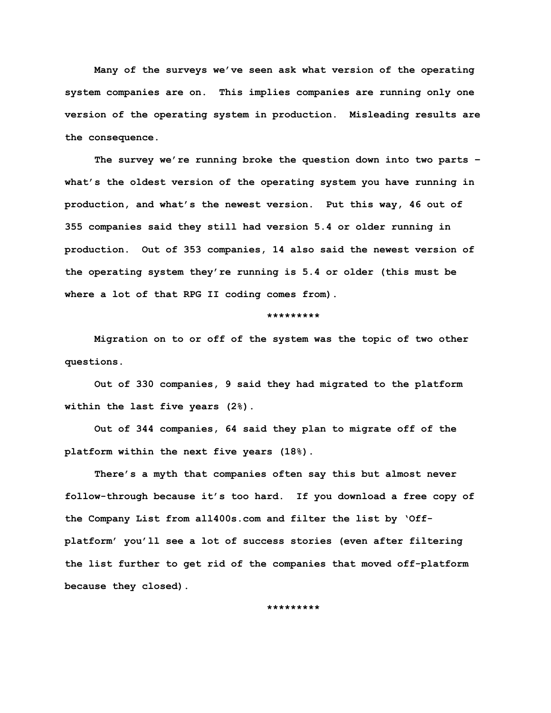**Many of the surveys we've seen ask what version of the operating system companies are on. This implies companies are running only one version of the operating system in production. Misleading results are the consequence.**

 **The survey we're running broke the question down into two parts – what's the oldest version of the operating system you have running in production, and what's the newest version. Put this way, 46 out of 355 companies said they still had version 5.4 or older running in production. Out of 353 companies, 14 also said the newest version of the operating system they're running is 5.4 or older (this must be where a lot of that RPG II coding comes from).** 

### **\*\*\*\*\*\*\*\*\***

 **Migration on to or off of the system was the topic of two other questions.**

 **Out of 330 companies, 9 said they had migrated to the platform within the last five years (2%).** 

 **Out of 344 companies, 64 said they plan to migrate off of the platform within the next five years (18%).**

 **There's a myth that companies often say this but almost never follow-through because it's too hard. If you download a free copy of the Company List from all400s.com and filter the list by 'Offplatform' you'll see a lot of success stories (even after filtering the list further to get rid of the companies that moved off-platform because they closed).**

 **\*\*\*\*\*\*\*\*\***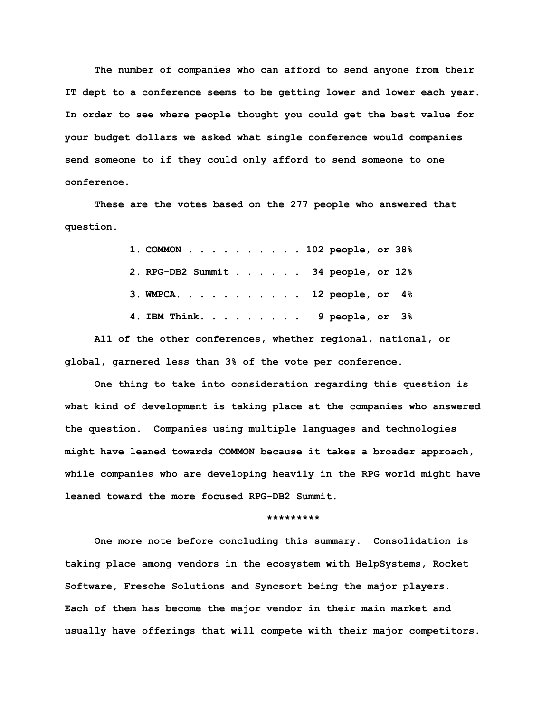**The number of companies who can afford to send anyone from their IT dept to a conference seems to be getting lower and lower each year. In order to see where people thought you could get the best value for your budget dollars we asked what single conference would companies send someone to if they could only afford to send someone to one conference.** 

 **These are the votes based on the 277 people who answered that question.**

| 1. COMMON 102 people, or 38%        |  |  |  |  |  |
|-------------------------------------|--|--|--|--|--|
| 2. RPG-DB2 Summit 34 people, or 12% |  |  |  |  |  |
| 3. WMPCA. 12 people, or $4\%$       |  |  |  |  |  |
| 4. IBM Think. 9 people, or 3%       |  |  |  |  |  |

 **All of the other conferences, whether regional, national, or global, garnered less than 3% of the vote per conference.**

 **One thing to take into consideration regarding this question is what kind of development is taking place at the companies who answered the question. Companies using multiple languages and technologies might have leaned towards COMMON because it takes a broader approach, while companies who are developing heavily in the RPG world might have leaned toward the more focused RPG-DB2 Summit.** 

#### **\*\*\*\*\*\*\*\*\***

 **One more note before concluding this summary. Consolidation is taking place among vendors in the ecosystem with HelpSystems, Rocket Software, Fresche Solutions and Syncsort being the major players. Each of them has become the major vendor in their main market and usually have offerings that will compete with their major competitors.**